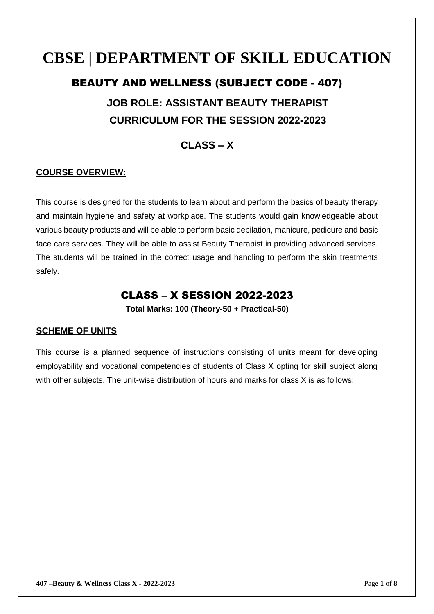# **CBSE | DEPARTMENT OF SKILL EDUCATION**

# BEAUTY AND WELLNESS (SUBJECT CODE - 407) **JOB ROLE: ASSISTANT BEAUTY THERAPIST CURRICULUM FOR THE SESSION 2022-2023**

## **CLASS – X**

#### **COURSE OVERVIEW:**

This course is designed for the students to learn about and perform the basics of beauty therapy and maintain hygiene and safety at workplace. The students would gain knowledgeable about various beauty products and will be able to perform basic depilation, manicure, pedicure and basic face care services. They will be able to assist Beauty Therapist in providing advanced services. The students will be trained in the correct usage and handling to perform the skin treatments safely.

## CLASS – X SESSION 2022-2023

**Total Marks: 100 (Theory-50 + Practical-50)**

#### **SCHEME OF UNITS**

This course is a planned sequence of instructions consisting of units meant for developing employability and vocational competencies of students of Class X opting for skill subject along with other subjects. The unit-wise distribution of hours and marks for class X is as follows: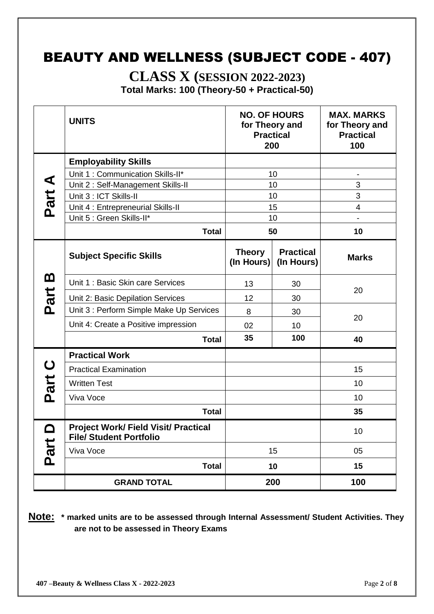## BEAUTY AND WELLNESS (SUBJECT CODE - 407)

**CLASS X (SESSION 2022-2023) Total Marks: 100 (Theory-50 + Practical-50)**

|             | <b>UNITS</b>                                                                  | <b>NO. OF HOURS</b><br>for Theory and<br><b>Practical</b><br>200 |                                | <b>MAX. MARKS</b><br>for Theory and<br><b>Practical</b><br>100 |  |
|-------------|-------------------------------------------------------------------------------|------------------------------------------------------------------|--------------------------------|----------------------------------------------------------------|--|
|             | <b>Employability Skills</b>                                                   |                                                                  |                                |                                                                |  |
|             | Unit 1: Communication Skills-II*                                              | 10                                                               |                                |                                                                |  |
| Part A      | Unit 2: Self-Management Skills-II                                             | 10                                                               |                                | 3                                                              |  |
|             | Unit 3 : ICT Skills-II                                                        | 10                                                               |                                | 3                                                              |  |
|             | Unit 4 : Entrepreneurial Skills-II                                            |                                                                  | 15                             | $\overline{4}$                                                 |  |
|             | Unit 5 : Green Skills-II*                                                     |                                                                  | 10                             |                                                                |  |
|             | <b>Total</b>                                                                  |                                                                  | 50                             | 10                                                             |  |
|             | <b>Subject Specific Skills</b>                                                | <b>Theory</b><br>(In Hours)                                      | <b>Practical</b><br>(In Hours) | <b>Marks</b>                                                   |  |
| <u>ന</u>    | Unit 1: Basic Skin care Services                                              | 13                                                               | 30                             | 20                                                             |  |
| Part        | Unit 2: Basic Depilation Services                                             | 12                                                               | 30                             |                                                                |  |
|             | Unit 3 : Perform Simple Make Up Services                                      | 8                                                                | 30                             |                                                                |  |
|             | Unit 4: Create a Positive impression                                          | 02                                                               | 10                             | 20                                                             |  |
|             | <b>Total</b>                                                                  | 35                                                               | 100                            | 40                                                             |  |
|             | <b>Practical Work</b>                                                         |                                                                  |                                |                                                                |  |
| $\mathbf C$ | <b>Practical Examination</b>                                                  |                                                                  |                                | 15                                                             |  |
| Part        | <b>Written Test</b>                                                           |                                                                  |                                | 10                                                             |  |
|             | Viva Voce                                                                     |                                                                  |                                | 10                                                             |  |
|             | <b>Total</b>                                                                  |                                                                  |                                | 35                                                             |  |
|             | <b>Project Work/ Field Visit/ Practical</b><br><b>File/ Student Portfolio</b> |                                                                  |                                | 10                                                             |  |
| Part        | Viva Voce                                                                     |                                                                  | 15                             | 05                                                             |  |
|             | <b>Total</b>                                                                  |                                                                  | 10                             | 15                                                             |  |
|             | <b>GRAND TOTAL</b>                                                            |                                                                  | 200                            | 100                                                            |  |

**Note: \* marked units are to be assessed through Internal Assessment/ Student Activities. They are not to be assessed in Theory Exams**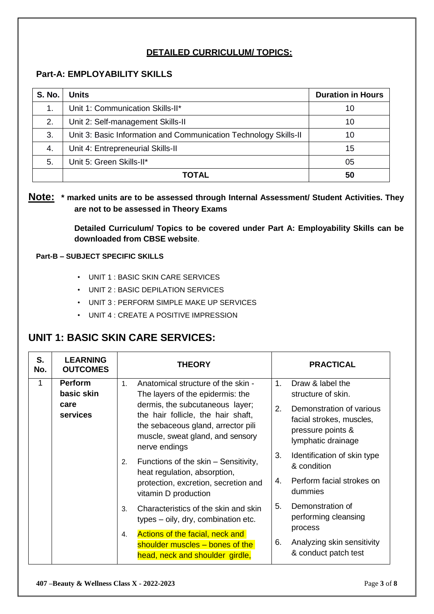#### **DETAILED CURRICULUM/ TOPICS:**

#### **Part-A: EMPLOYABILITY SKILLS**

| <b>S. No.</b> | <b>Units</b>                                                     | <b>Duration in Hours</b> |
|---------------|------------------------------------------------------------------|--------------------------|
| 1.            | Unit 1: Communication Skills-II*                                 | 10                       |
| 2.            | Unit 2: Self-management Skills-II                                | 10                       |
| 3.            | Unit 3: Basic Information and Communication Technology Skills-II | 10                       |
| 4.            | Unit 4: Entrepreneurial Skills-II                                | 15                       |
| 5.            | Unit 5: Green Skills-II*                                         | 05                       |
|               | ΤΟΤΑL                                                            | 50                       |

#### **Note: \* marked units are to be assessed through Internal Assessment/ Student Activities. They are not to be assessed in Theory Exams**

**Detailed Curriculum/ Topics to be covered under Part A: Employability Skills can be downloaded from CBSE website**.

#### **Part-B – SUBJECT SPECIFIC SKILLS**

- UNIT 1 : BASIC SKIN CARE SERVICES
- UNIT 2 : BASIC DEPILATION SERVICES
- UNIT 3 : PERFORM SIMPLE MAKE UP SERVICES
- UNIT 4 : CREATE A POSITIVE IMPRESSION

### **UNIT 1: BASIC SKIN CARE SERVICES:**

| S.<br>No. | <b>LEARNING</b><br><b>OUTCOMES</b>               | <b>THEORY</b>                                                                                                                                                                                                                                                                                                                                                                                                                                                                                                                                                                                      | <b>PRACTICAL</b>                                                                                                                                                                                                                                                                                                                                                                             |
|-----------|--------------------------------------------------|----------------------------------------------------------------------------------------------------------------------------------------------------------------------------------------------------------------------------------------------------------------------------------------------------------------------------------------------------------------------------------------------------------------------------------------------------------------------------------------------------------------------------------------------------------------------------------------------------|----------------------------------------------------------------------------------------------------------------------------------------------------------------------------------------------------------------------------------------------------------------------------------------------------------------------------------------------------------------------------------------------|
| 1         | <b>Perform</b><br>basic skin<br>care<br>services | Anatomical structure of the skin -<br>1.<br>The layers of the epidermis: the<br>dermis, the subcutaneous layer;<br>the hair follicle, the hair shaft,<br>the sebaceous gland, arrector pili<br>muscle, sweat gland, and sensory<br>nerve endings<br>Functions of the skin - Sensitivity,<br>2.<br>heat regulation, absorption,<br>protection, excretion, secretion and<br>vitamin D production<br>Characteristics of the skin and skin<br>3.<br>types – oily, dry, combination etc.<br>Actions of the facial, neck and<br>4.<br>shoulder muscles - bones of the<br>head, neck and shoulder girdle, | 1 <sub>1</sub><br>Draw & label the<br>structure of skin.<br>2.<br>Demonstration of various<br>facial strokes, muscles,<br>pressure points &<br>lymphatic drainage<br>3.<br>Identification of skin type<br>& condition<br>Perform facial strokes on<br>4.<br>dummies<br>5.<br>Demonstration of<br>performing cleansing<br>process<br>Analyzing skin sensitivity<br>6.<br>& conduct patch test |
|           |                                                  |                                                                                                                                                                                                                                                                                                                                                                                                                                                                                                                                                                                                    |                                                                                                                                                                                                                                                                                                                                                                                              |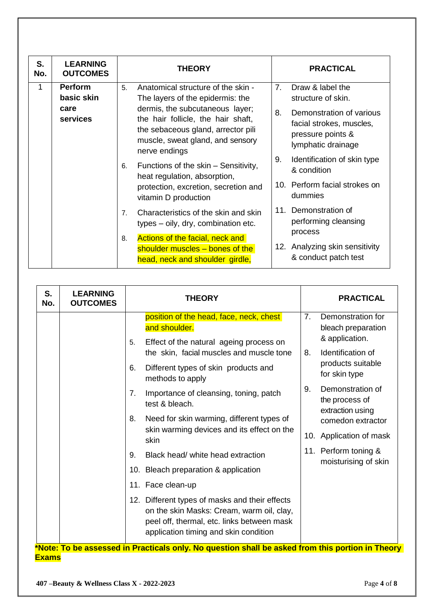| S.<br>No. | <b>LEARNING</b><br><b>OUTCOMES</b>                                                                                                                                                                                                                                                                                                                                                                                                  | <b>THEORY</b>                                                                                               | <b>PRACTICAL</b>                                                  |
|-----------|-------------------------------------------------------------------------------------------------------------------------------------------------------------------------------------------------------------------------------------------------------------------------------------------------------------------------------------------------------------------------------------------------------------------------------------|-------------------------------------------------------------------------------------------------------------|-------------------------------------------------------------------|
| 1         | <b>Perform</b><br>basic skin                                                                                                                                                                                                                                                                                                                                                                                                        | Anatomical structure of the skin -<br>5.<br>The layers of the epidermis: the                                | 7.<br>Draw & label the<br>structure of skin.                      |
|           | dermis, the subcutaneous layer;<br>care<br>services<br>the hair follicle, the hair shaft,<br>the sebaceous gland, arrector pili<br>muscle, sweat gland, and sensory<br>nerve endings<br>Functions of the skin – Sensitivity,<br>6.<br>heat regulation, absorption,<br>protection, excretion, secretion and<br>vitamin D production<br>Characteristics of the skin and skin<br>7 <sub>1</sub><br>types – oily, dry, combination etc. | 8.<br>Demonstration of various<br>facial strokes, muscles,<br>pressure points &<br>lymphatic drainage       |                                                                   |
|           |                                                                                                                                                                                                                                                                                                                                                                                                                                     | 9.<br>Identification of skin type<br>& condition                                                            |                                                                   |
|           |                                                                                                                                                                                                                                                                                                                                                                                                                                     | 10. Perform facial strokes on<br>dummies                                                                    |                                                                   |
|           |                                                                                                                                                                                                                                                                                                                                                                                                                                     | 11. Demonstration of<br>performing cleansing                                                                |                                                                   |
|           |                                                                                                                                                                                                                                                                                                                                                                                                                                     | Actions of the facial, neck and<br>8.<br>shoulder muscles - bones of the<br>head, neck and shoulder girdle, | process<br>12. Analyzing skin sensitivity<br>& conduct patch test |

| S.<br>No. | <b>LEARNING</b><br><b>OUTCOMES</b> | <b>THEORY</b>                                                                                                                                                                      |    | <b>PRACTICAL</b>                                          |
|-----------|------------------------------------|------------------------------------------------------------------------------------------------------------------------------------------------------------------------------------|----|-----------------------------------------------------------|
|           |                                    | position of the head, face, neck, chest<br>and shoulder.<br>Effect of the natural ageing process on<br>5.                                                                          | 7. | Demonstration for<br>bleach preparation<br>& application. |
|           |                                    | the skin, facial muscles and muscle tone                                                                                                                                           | 8. | Identification of                                         |
|           |                                    | Different types of skin products and<br>6.<br>methods to apply                                                                                                                     |    | products suitable<br>for skin type                        |
|           |                                    | Importance of cleansing, toning, patch<br>7.<br>test & bleach.                                                                                                                     | 9. | Demonstration of<br>the process of<br>extraction using    |
|           |                                    | Need for skin warming, different types of<br>8.                                                                                                                                    |    | comedon extractor                                         |
|           |                                    | skin warming devices and its effect on the<br>skin                                                                                                                                 |    | 10. Application of mask                                   |
|           |                                    | Black head/ white head extraction<br>9.                                                                                                                                            |    | 11. Perform toning &<br>moisturising of skin              |
|           |                                    | 10. Bleach preparation & application                                                                                                                                               |    |                                                           |
|           |                                    | 11. Face clean-up                                                                                                                                                                  |    |                                                           |
|           |                                    | 12. Different types of masks and their effects<br>on the skin Masks: Cream, warm oil, clay,<br>peel off, thermal, etc. links between mask<br>application timing and skin condition |    |                                                           |
|           |                                    | *Note: To be assessed in Practicals only. No question shall be asked from this portion in Theory                                                                                   |    |                                                           |

**Exams**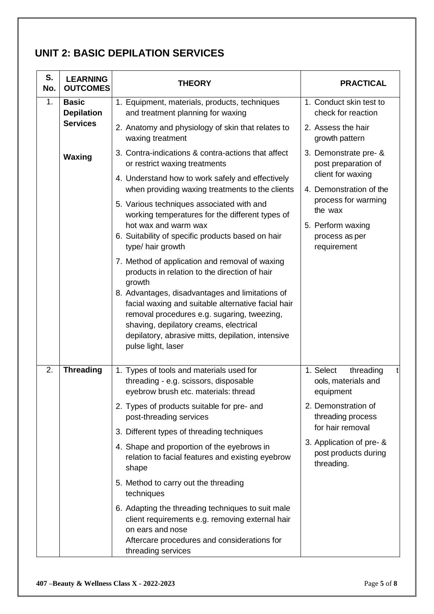## **UNIT 2: BASIC DEPILATION SERVICES**

| S.<br>No. | <b>LEARNING</b><br><b>OUTCOMES</b>                   | <b>THEORY</b>                                                                                                                                                                                                                                                                                                                                                                          | <b>PRACTICAL</b>                                               |  |
|-----------|------------------------------------------------------|----------------------------------------------------------------------------------------------------------------------------------------------------------------------------------------------------------------------------------------------------------------------------------------------------------------------------------------------------------------------------------------|----------------------------------------------------------------|--|
| 1.        | <b>Basic</b><br><b>Depilation</b><br><b>Services</b> | 1. Equipment, materials, products, techniques<br>and treatment planning for waxing                                                                                                                                                                                                                                                                                                     | 1. Conduct skin test to<br>check for reaction                  |  |
|           |                                                      | 2. Anatomy and physiology of skin that relates to<br>waxing treatment                                                                                                                                                                                                                                                                                                                  | 2. Assess the hair<br>growth pattern                           |  |
|           | Waxing                                               | 3. Contra-indications & contra-actions that affect<br>or restrict waxing treatments                                                                                                                                                                                                                                                                                                    | 3. Demonstrate pre- &<br>post preparation of                   |  |
|           |                                                      | 4. Understand how to work safely and effectively<br>when providing waxing treatments to the clients                                                                                                                                                                                                                                                                                    | client for waxing<br>4. Demonstration of the                   |  |
|           |                                                      | 5. Various techniques associated with and<br>working temperatures for the different types of                                                                                                                                                                                                                                                                                           | process for warming<br>the wax                                 |  |
|           |                                                      | hot wax and warm wax<br>6. Suitability of specific products based on hair<br>type/ hair growth                                                                                                                                                                                                                                                                                         | 5. Perform waxing<br>process as per<br>requirement             |  |
|           |                                                      | 7. Method of application and removal of waxing<br>products in relation to the direction of hair<br>growth<br>8. Advantages, disadvantages and limitations of<br>facial waxing and suitable alternative facial hair<br>removal procedures e.g. sugaring, tweezing,<br>shaving, depilatory creams, electrical<br>depilatory, abrasive mitts, depilation, intensive<br>pulse light, laser |                                                                |  |
| 2.        | <b>Threading</b>                                     | 1. Types of tools and materials used for<br>threading - e.g. scissors, disposable<br>eyebrow brush etc. materials: thread                                                                                                                                                                                                                                                              | 1. Select<br>threading<br>ools, materials and<br>equipment     |  |
|           |                                                      | 2. Types of products suitable for pre- and<br>post-threading services                                                                                                                                                                                                                                                                                                                  | 2. Demonstration of<br>threading process                       |  |
|           |                                                      | 3. Different types of threading techniques                                                                                                                                                                                                                                                                                                                                             | for hair removal                                               |  |
|           |                                                      | 4. Shape and proportion of the eyebrows in<br>relation to facial features and existing eyebrow<br>shape                                                                                                                                                                                                                                                                                | 3. Application of pre- &<br>post products during<br>threading. |  |
|           |                                                      | 5. Method to carry out the threading<br>techniques                                                                                                                                                                                                                                                                                                                                     |                                                                |  |
|           |                                                      | 6. Adapting the threading techniques to suit male<br>client requirements e.g. removing external hair<br>on ears and nose<br>Aftercare procedures and considerations for<br>threading services                                                                                                                                                                                          |                                                                |  |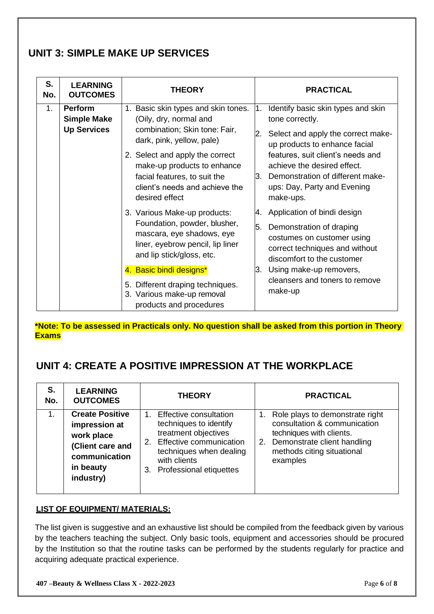## **UNIT 3: SIMPLE MAKE UP SERVICES**

| S.<br>No. | <b>LEARNING</b><br><b>OUTCOMES</b>                         | <b>THEORY</b>                                                                                                                                                                                                                                                                      | <b>PRACTICAL</b>                                                                                                                                                                                                                                                                                     |
|-----------|------------------------------------------------------------|------------------------------------------------------------------------------------------------------------------------------------------------------------------------------------------------------------------------------------------------------------------------------------|------------------------------------------------------------------------------------------------------------------------------------------------------------------------------------------------------------------------------------------------------------------------------------------------------|
| $1_{-}$   | <b>Perform</b><br><b>Simple Make</b><br><b>Up Services</b> | 1. Basic skin types and skin tones.<br>(Oily, dry, normal and<br>combination; Skin tone: Fair,<br>dark, pink, yellow, pale)<br>2. Select and apply the correct<br>make-up products to enhance<br>facial features, to suit the<br>client's needs and achieve the<br>desired effect  | Identify basic skin types and skin<br>l1.<br>tone correctly.<br>Select and apply the correct make-<br>2.<br>up products to enhance facial<br>features, suit client's needs and<br>achieve the desired effect.<br>Demonstration of different make-<br>l3.<br>ups: Day, Party and Evening<br>make-ups. |
|           |                                                            | 3. Various Make-up products:<br>Foundation, powder, blusher,<br>mascara, eye shadows, eye<br>liner, eyebrow pencil, lip liner<br>and lip stick/gloss, etc.<br>4. Basic bindi designs*<br>5. Different draping techniques.<br>3. Various make-up removal<br>products and procedures | Application of bindi design<br>4.<br>5.<br>Demonstration of draping<br>costumes on customer using<br>correct techniques and without<br>discomfort to the customer<br>Using make-up removers,<br>l3.<br>cleansers and toners to remove<br>make-up                                                     |

**\*Note: To be assessed in Practicals only. No question shall be asked from this portion in Theory Exams**

## **UNIT 4: CREATE A POSITIVE IMPRESSION AT THE WORKPLACE**

| S.<br>No. | <b>LEARNING</b><br><b>OUTCOMES</b>                                                                                   | <b>THEORY</b>                                                                                                                                                                      | <b>PRACTICAL</b>                                                                                                                                                        |
|-----------|----------------------------------------------------------------------------------------------------------------------|------------------------------------------------------------------------------------------------------------------------------------------------------------------------------------|-------------------------------------------------------------------------------------------------------------------------------------------------------------------------|
| $1_{-}$   | <b>Create Positive</b><br>impression at<br>work place<br>(Client care and<br>communication<br>in beauty<br>industry) | 1. Effective consultation<br>techniques to identify<br>treatment objectives<br>2. Effective communication<br>techniques when dealing<br>with clients<br>3. Professional etiquettes | Role plays to demonstrate right<br>consultation & communication<br>techniques with clients.<br>2. Demonstrate client handling<br>methods citing situational<br>examples |

#### **LIST OF EQUIPMENT/ MATERIALS:**

The list given is suggestive and an exhaustive list should be compiled from the feedback given by various by the teachers teaching the subject. Only basic tools, equipment and accessories should be procured by the Institution so that the routine tasks can be performed by the students regularly for practice and acquiring adequate practical experience.